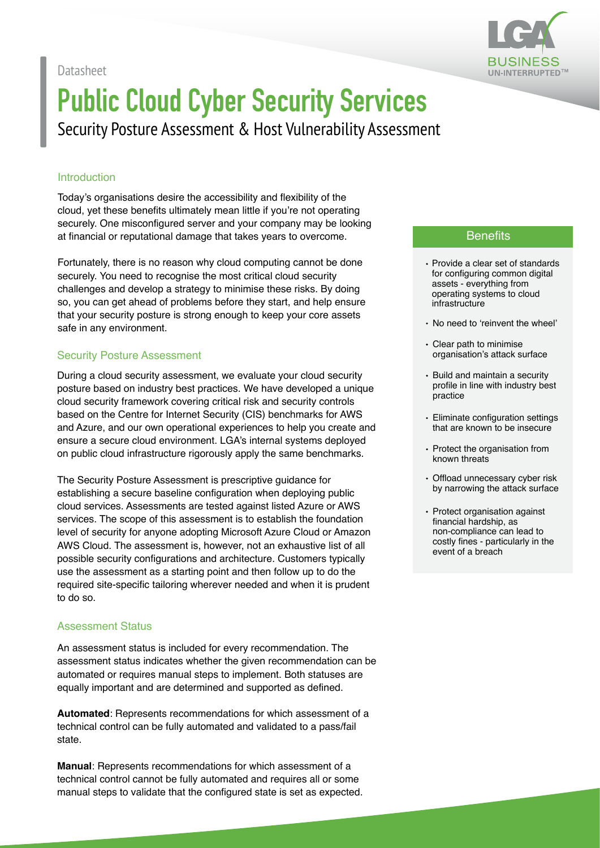Datasheet



# **Public Cloud Cyber Security Services**

Security Posture Assessment & Host Vulnerability Assessment

#### Introduction

Today's organisations desire the accessibility and flexibility of the cloud, yet these benefits ultimately mean little if you're not operating securely. One misconfigured server and your company may be looking at financial or reputational damage that takes years to overcome.

Fortunately, there is no reason why cloud computing cannot be done securely. You need to recognise the most critical cloud security challenges and develop a strategy to minimise these risks. By doing so, you can get ahead of problems before they start, and help ensure that your security posture is strong enough to keep your core assets safe in any environment.

#### Security Posture Assessment

During a cloud security assessment, we evaluate your cloud security posture based on industry best practices. We have developed a unique cloud security framework covering critical risk and security controls based on the Centre for Internet Security (CIS) benchmarks for AWS and Azure, and our own operational experiences to help you create and ensure a secure cloud environment. LGA's internal systems deployed on public cloud infrastructure rigorously apply the same benchmarks.

The Security Posture Assessment is prescriptive guidance for establishing a secure baseline configuration when deploying public cloud services. Assessments are tested against listed Azure or AWS services. The scope of this assessment is to establish the foundation level of security for anyone adopting Microsoft Azure Cloud or Amazon AWS Cloud. The assessment is, however, not an exhaustive list of all possible security configurations and architecture. Customers typically use the assessment as a starting point and then follow up to do the required site-specific tailoring wherever needed and when it is prudent to do so.

#### Assessment Status

An assessment status is included for every recommendation. The assessment status indicates whether the given recommendation can be automated or requires manual steps to implement. Both statuses are equally important and are determined and supported as defined.

**Automated**: Represents recommendations for which assessment of a technical control can be fully automated and validated to a pass/fail state.

**Manual**: Represents recommendations for which assessment of a technical control cannot be fully automated and requires all or some manual steps to validate that the configured state is set as expected.

#### **Benefits**

- Provide a clear set of standards for configuring common digital assets - everything from operating systems to cloud infrastructure
- No need to 'reinvent the wheel'
- Clear path to minimise organisation's attack surface
- Build and maintain a security profile in line with industry best practice
- Eliminate configuration settings that are known to be insecure
- Protect the organisation from known threats
- Offload unnecessary cyber risk by narrowing the attack surface
- Protect organisation against financial hardship, as non-compliance can lead to costly fines - particularly in the event of a breach